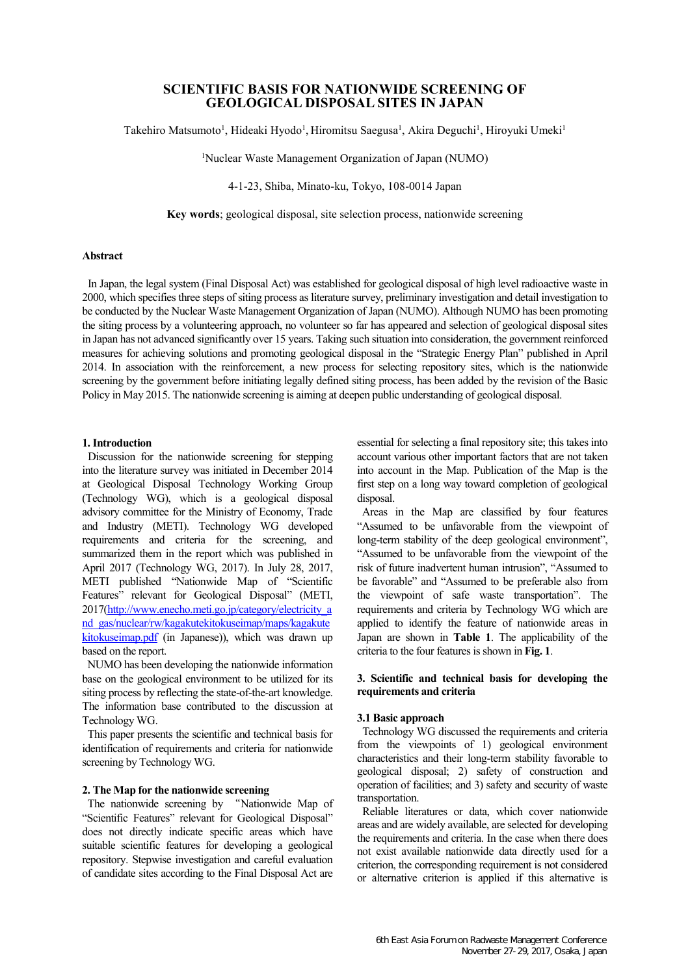# **SCIENTIFIC BASIS FOR NATIONWIDE SCREENING OF GEOLOGICAL DISPOSAL SITES IN JAPAN**

Takehiro Matsumoto<sup>1</sup>, Hideaki Hyodo<sup>1</sup>, Hiromitsu Saegusa<sup>1</sup>, Akira Deguchi<sup>1</sup>, Hiroyuki Umeki<sup>1</sup>

<sup>1</sup>Nuclear Waste Management Organization of Japan (NUMO)

4-1-23, Shiba, Minato-ku, Tokyo, 108-0014 Japan

**Key words**; geological disposal, site selection process, nationwide screening

#### **Abstract**

In Japan, the legal system (Final Disposal Act) was established for geological disposal of high level radioactive waste in 2000, which specifies three steps of siting process as literature survey, preliminary investigation and detail investigation to be conducted by the Nuclear Waste Management Organization of Japan (NUMO). Although NUMO has been promoting the siting process by a volunteering approach, no volunteer so far has appeared and selection of geological disposal sites in Japan has not advanced significantly over 15 years. Taking such situation into consideration, the government reinforced measures for achieving solutions and promoting geological disposal in the "Strategic Energy Plan" published in April 2014. In association with the reinforcement, a new process for selecting repository sites, which is the nationwide screening by the government before initiating legally defined siting process, has been added by the revision of the Basic Policy in May 2015. The nationwide screening is aiming at deepen public understanding of geological disposal.

## **1. Introduction**

Discussion for the nationwide screening for stepping into the literature survey was initiated in December 2014 at Geological Disposal Technology Working Group (Technology WG), which is a geological disposal advisory committee for the Ministry of Economy, Trade and Industry (METI). Technology WG developed requirements and criteria for the screening, and summarized them in the report which was published in April 2017 (Technology WG, 2017). In July 28, 2017, METI published "Nationwide Map of "Scientific Features" relevant for Geological Disposal" (METI, 2017[\(http://www.enecho.meti.go.jp/category/electricity\\_a](http://www.enecho.meti.go.jp/category/electricity_and_gas/nuclear/rw/kagakutekitokuseimap/maps/kagakutekitokuseimap.pdf) [nd\\_gas/nuclear/rw/kagakutekitokuseimap/maps/kagakute](http://www.enecho.meti.go.jp/category/electricity_and_gas/nuclear/rw/kagakutekitokuseimap/maps/kagakutekitokuseimap.pdf) [kitokuseimap.pdf](http://www.enecho.meti.go.jp/category/electricity_and_gas/nuclear/rw/kagakutekitokuseimap/maps/kagakutekitokuseimap.pdf) (in Japanese)), which was drawn up based on the report.

NUMO has been developing the nationwide information base on the geological environment to be utilized for its siting process by reflecting the state-of-the-art knowledge. The information base contributed to the discussion at Technology WG.

This paper presents the scientific and technical basis for identification of requirements and criteria for nationwide screening by Technology WG.

# **2. The Map for the nationwide screening**

The nationwide screening by "Nationwide Map of "Scientific Features" relevant for Geological Disposal" does not directly indicate specific areas which have suitable scientific features for developing a geological repository. Stepwise investigation and careful evaluation of candidate sites according to the Final Disposal Act are

essential for selecting a final repository site; this takes into account various other important factors that are not taken into account in the Map. Publication of the Map is the first step on a long way toward completion of geological disposal.

Areas in the Map are classified by four features "Assumed to be unfavorable from the viewpoint of long-term stability of the deep geological environment", "Assumed to be unfavorable from the viewpoint of the risk of future inadvertent human intrusion", "Assumed to be favorable" and "Assumed to be preferable also from the viewpoint of safe waste transportation". The requirements and criteria by Technology WG which are applied to identify the feature of nationwide areas in Japan are shown in **Table 1**. The applicability of the criteria to the four features is shown in Fig. 1.

# **3. Scientific and technical basis for developing the requirements and criteria**

## **3.1 Basic approach**

Technology WG discussed the requirements and criteria from the viewpoints of 1) geological environment characteristics and their long-term stability favorable to geological disposal; 2) safety of construction and operation of facilities; and 3) safety and security of waste transportation.

Reliable literatures or data, which cover nationwide areas and are widely available, are selected for developing the requirements and criteria. In the case when there does not exist available nationwide data directly used for a criterion, the corresponding requirement is not considered or alternative criterion is applied if this alternative is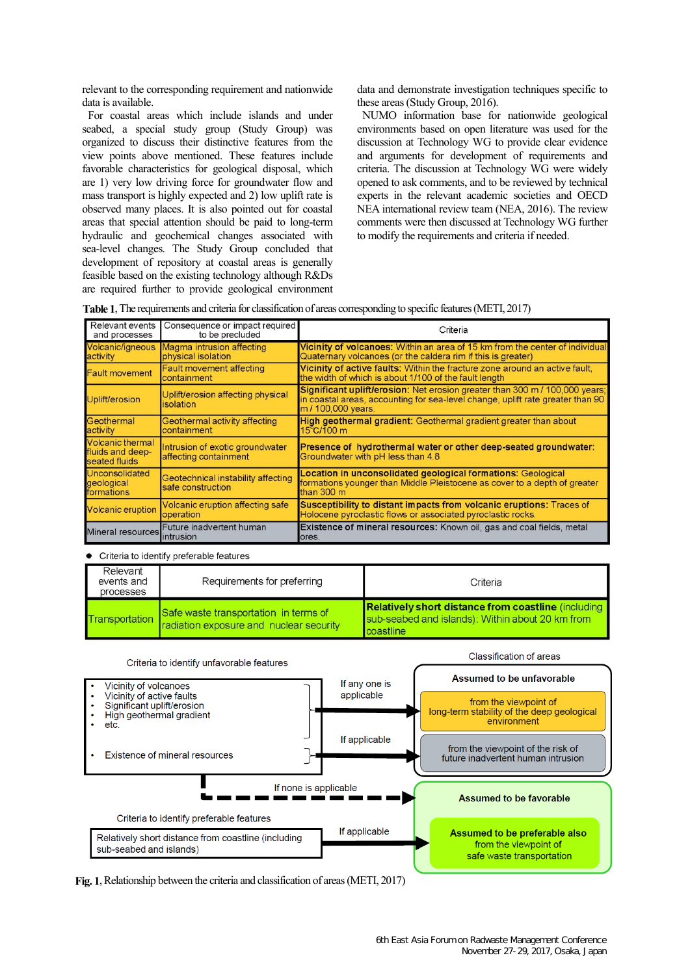relevant to the corresponding requirement and nationwide data is available.

For coastal areas which include islands and under seabed, a special study group (Study Group) was organized to discuss their distinctive features from the view points above mentioned. These features include favorable characteristics for geological disposal, which are 1) very low driving force for groundwater flow and mass transport is highly expected and 2) low uplift rate is observed many places. It is also pointed out for coastal areas that special attention should be paid to long-term hydraulic and geochemical changes associated with sea-level changes. The Study Group concluded that development of repository at coastal areas is generally feasible based on the existing technology although R&Ds are required further to provide geological environment data and demonstrate investigation techniques specific to these areas (Study Group, 2016).

NUMO information base for nationwide geological environments based on open literature was used for the discussion at Technology WG to provide clear evidence and arguments for development of requirements and criteria. The discussion at Technology WG were widely opened to ask comments, and to be reviewed by technical experts in the relevant academic societies and OECD NEA international review team (NEA, 2016). The review comments were then discussed at Technology WG further to modify the requirements and criteria if needed.

| <b>Table 1.</b> The requirements and criteria for classification of areas corresponding to specific features (METI, 2017) |  |  |  |
|---------------------------------------------------------------------------------------------------------------------------|--|--|--|
|                                                                                                                           |  |  |  |

| Relevant events<br>and processes                             | Consequence or impact required<br>to be precluded        | Criteria                                                                                                                                                                                   |
|--------------------------------------------------------------|----------------------------------------------------------|--------------------------------------------------------------------------------------------------------------------------------------------------------------------------------------------|
| Volcanic/igneous<br>activity                                 | Magma intrusion affecting<br>physical isolation          | Vicinity of volcanoes: Within an area of 15 km from the center of individual<br>Quaternary volcanoes (or the caldera rim if this is greater)                                               |
| <b>Fault movement</b>                                        | <b>Fault movement affecting</b><br>containment           | Vicinity of active faults: Within the fracture zone around an active fault.<br>the width of which is about 1/100 of the fault length                                                       |
| Uplift/erosion                                               | Uplift/erosion affecting physical<br>isolation           | <b>Significant uplift/erosion:</b> Net erosion greater than 300 m / 100,000 years;<br>in coastal areas, accounting for sea-level change, uplift rate greater than 90<br>m / 100,000 years. |
| Geothermal<br>activity                                       | Geothermal activity affecting<br>containment             | High geothermal gradient: Geothermal gradient greater than about<br>$15^{\circ}$ C/100 m                                                                                                   |
| <b>Volcanic thermal</b><br>fluids and deep-<br>seated fluids | Intrusion of exotic groundwater<br>affecting containment | <b>Presence of hydrothermal water or other deep-seated groundwater:</b><br>Groundwater with pH less than 4.8                                                                               |
| Unconsolidated<br>geological<br>formations                   | Geotechnical instability affecting<br>safe construction  | Location in unconsolidated geological formations: Geological<br>formations younger than Middle Pleistocene as cover to a depth of greater<br>than 300 m                                    |
| <b>Volcanic eruption</b>                                     | Volcanic eruption affecting safe<br>operation            | Susceptibility to distant impacts from volcanic eruptions: Traces of<br>Holocene pyroclastic flows or associated pyroclastic rocks.                                                        |
| Mineral resources                                            | Future inadvertent human<br><i>intrusion</i>             | <b>Existence of mineral resources:</b> Known oil, gas and coal fields, metal<br>ores.                                                                                                      |

Criteria to identify preferable features

| Relevant<br>events and<br>processes | Requirements for preferring                                                      | Criteria                                                                                                             |
|-------------------------------------|----------------------------------------------------------------------------------|----------------------------------------------------------------------------------------------------------------------|
| Transportation                      | Safe waste transportation in terms of<br>radiation exposure and nuclear security | Relatively short distance from coastline (including<br>sub-seabed and islands): Within about 20 km from<br>coastline |



**Fig. 1**, Relationship between the criteria and classification of areas (METI, 2017)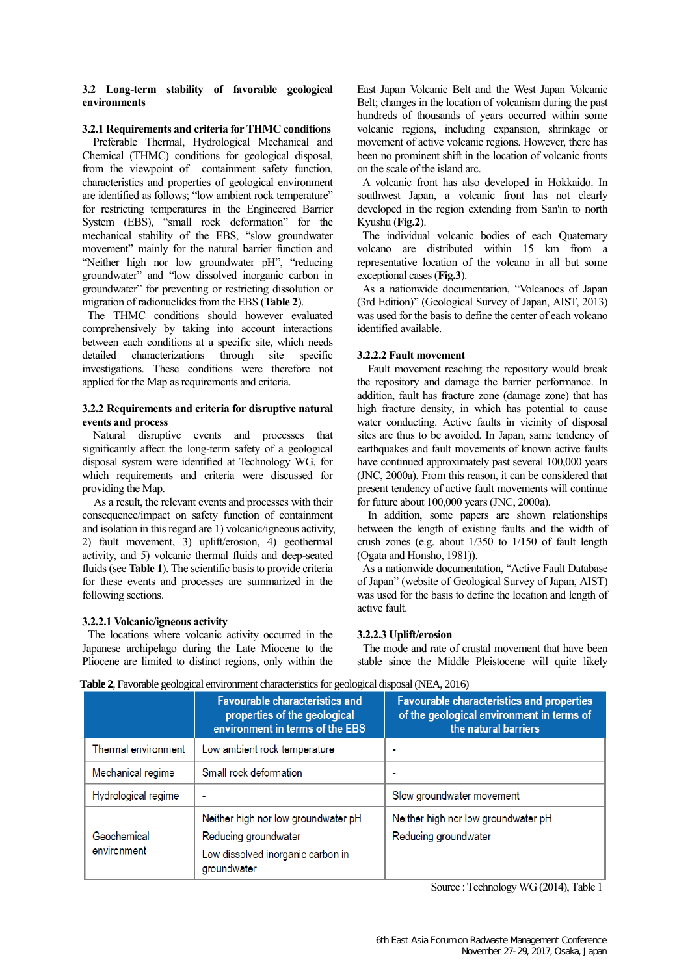# **3.2 Long-term stability of favorable geological environments**

## **3.2.1 Requirements and criteria for THMC conditions**

Preferable Thermal, Hydrological Mechanical and Chemical (THMC) conditions for geological disposal, from the viewpoint of containment safety function, characteristics and properties of geological environment are identified as follows; "low ambient rock temperature" for restricting temperatures in the Engineered Barrier System (EBS), "small rock deformation" for the mechanical stability of the EBS, "slow groundwater movement" mainly for the natural barrier function and "Neither high nor low groundwater pH", "reducing groundwater" and "low dissolved inorganic carbon in groundwater" for preventing or restricting dissolution or migration of radionuclides from the EBS (**Table 2**).

The THMC conditions should however evaluated comprehensively by taking into account interactions between each conditions at a specific site, which needs detailed characterizations through site specific investigations. These conditions were therefore not applied for the Map as requirements and criteria.

## **3.2.2 Requirements and criteria for disruptive natural events and process**

Natural disruptive events and processes that significantly affect the long-term safety of a geological disposal system were identified at Technology WG, for which requirements and criteria were discussed for providing the Map.

As a result, the relevant events and processes with their consequence/impact on safety function of containment and isolation in this regard are 1) volcanic/igneous activity, 2) fault movement, 3) uplift/erosion, 4) geothermal activity, and 5) volcanic thermal fluids and deep-seated fluids (see **Table 1**). The scientific basis to provide criteria for these events and processes are summarized in the following sections.

## **3.2.2.1 Volcanic/igneous activity**

The locations where volcanic activity occurred in the Japanese archipelago during the Late Miocene to the Pliocene are limited to distinct regions, only within the East Japan Volcanic Belt and the West Japan Volcanic Belt; changes in the location of volcanism during the past hundreds of thousands of years occurred within some volcanic regions, including expansion, shrinkage or movement of active volcanic regions. However, there has been no prominent shift in the location of volcanic fronts on the scale of the island arc.

A volcanic front has also developed in Hokkaido. In southwest Japan, a volcanic front has not clearly developed in the region extending from San'in to north Kyushu (**Fig.2**).

The individual volcanic bodies of each Quaternary volcano are distributed within 15 km from a representative location of the volcano in all but some exceptional cases (**Fig.3**).

As a nationwide documentation, "Volcanoes of Japan (3rd Edition)" (Geological Survey of Japan, AIST, 2013) was used for the basis to define the center of each volcano identified available.

# **3.2.2.2 Fault movement**

Fault movement reaching the repository would break the repository and damage the barrier performance. In addition, fault has fracture zone (damage zone) that has high fracture density, in which has potential to cause water conducting. Active faults in vicinity of disposal sites are thus to be avoided. In Japan, same tendency of earthquakes and fault movements of known active faults have continued approximately past several 100,000 years (JNC, 2000a). From this reason, it can be considered that present tendency of active fault movements will continue for future about 100,000 years (JNC, 2000a).

In addition, some papers are shown relationships between the length of existing faults and the width of crush zones (e.g. about 1/350 to 1/150 of fault length (Ogata and Honsho, 1981)).

As a nationwide documentation, "Active Fault Database of Japan" (website of Geological Survey of Japan, AIST) was used for the basis to define the location and length of active fault.

# **3.2.2.3 Uplift/erosion**

The mode and rate of crustal movement that have been stable since the Middle Pleistocene will quite likely

|                            | <b>Favourable characteristics and</b><br>properties of the geological<br>environment in terms of the EBS | <b>Favourable characteristics and properties</b><br>of the geological environment in terms of<br>the natural barriers |
|----------------------------|----------------------------------------------------------------------------------------------------------|-----------------------------------------------------------------------------------------------------------------------|
| <b>Thermal environment</b> | Low ambient rock temperature                                                                             | $\blacksquare$                                                                                                        |
| Mechanical regime          | Small rock deformation                                                                                   | ٠                                                                                                                     |
| Hydrological regime        |                                                                                                          | Slow groundwater movement                                                                                             |
| Geochemical<br>environment | Neither high nor low groundwater pH<br>Reducing groundwater                                              | Neither high nor low groundwater pH<br>Reducing groundwater                                                           |
|                            | Low dissolved inorganic carbon in<br>groundwater                                                         |                                                                                                                       |

**Table 2**, Favorable geological environment characteristics for geological disposal (NEA, 2016)

Source : Technology WG (2014), Table 1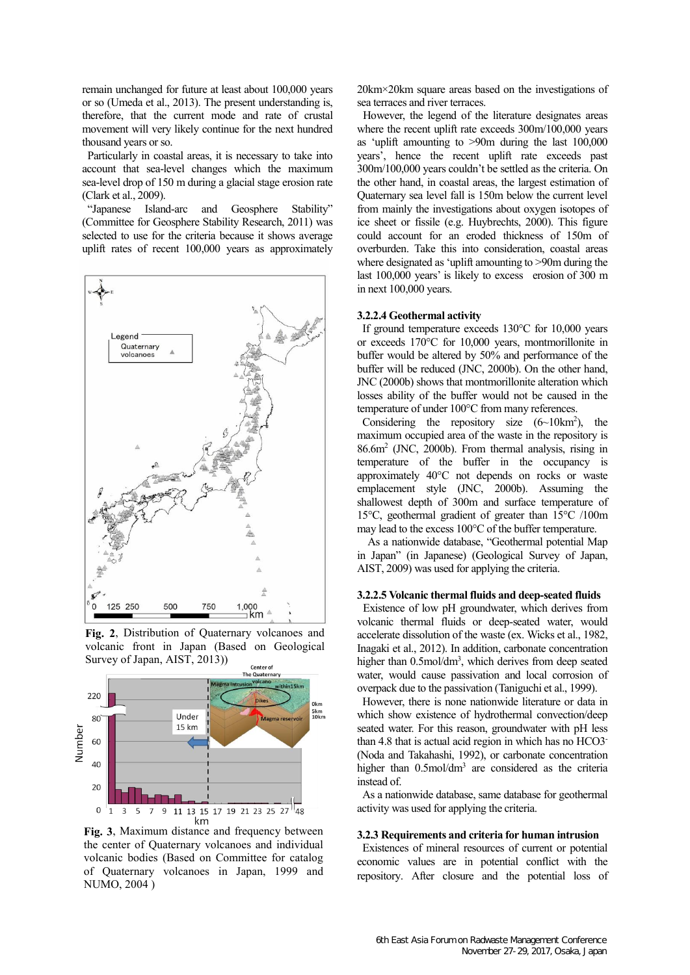remain unchanged for future at least about 100,000 years or so (Umeda et al., 2013). The present understanding is, therefore, that the current mode and rate of crustal movement will very likely continue for the next hundred thousand years or so.

Particularly in coastal areas, it is necessary to take into account that sea-level changes which the maximum sea-level drop of 150 m during a glacial stage erosion rate (Clark et al., 2009).

"Japanese Island-arc and Geosphere Stability" (Committee for Geosphere Stability Research, 2011) was selected to use for the criteria because it shows average uplift rates of recent 100,000 years as approximately



**Fig. 2**, Distribution of Quaternary volcanoes and volcanic front in Japan (Based on Geological Survey of Japan, AIST, 2013))



**Fig. 3**, Maximum distance and frequency between the center of Quaternary volcanoes and individual volcanic bodies (Based on Committee for catalog of Quaternary volcanoes in Japan, 1999 and NUMO, 2004 )

20km×20km square areas based on the investigations of sea terraces and river terraces.

However, the legend of the literature designates areas where the recent uplift rate exceeds  $300m/100,000$  years as 'uplift amounting to >90m during the last 100,000 years', hence the recent uplift rate exceeds past 300m/100,000 years couldn't be settled as the criteria. On the other hand, in coastal areas, the largest estimation of Quaternary sea level fall is 150m below the current level from mainly the investigations about oxygen isotopes of ice sheet or fissile (e.g. Huybrechts, 2000). This figure could account for an eroded thickness of 150m of overburden. Take this into consideration, coastal areas where designated as 'uplift amounting to >90m during the last 100,000 years' is likely to excess erosion of 300 m in next 100,000 years.

#### **3.2.2.4 Geothermal activity**

If ground temperature exceeds 130°C for 10,000 years or exceeds 170°C for 10,000 years, montmorillonite in buffer would be altered by 50% and performance of the buffer will be reduced (JNC, 2000b). On the other hand, JNC (2000b) shows that montmorillonite alteration which losses ability of the buffer would not be caused in the temperature of under 100°C from many references.

Considering the repository size  $(6{\sim}10km^2)$ , the maximum occupied area of the waste in the repository is 86.6m<sup>2</sup> (JNC, 2000b). From thermal analysis, rising in temperature of the buffer in the occupancy is approximately 40°C not depends on rocks or waste emplacement style (JNC, 2000b). Assuming the shallowest depth of 300m and surface temperature of 15°C, geothermal gradient of greater than 15°C /100m may lead to the excess 100°C of the buffer temperature.

As a nationwide database, "Geothermal potential Map in Japan" (in Japanese) (Geological Survey of Japan, AIST, 2009) was used for applying the criteria.

### **3.2.2.5 Volcanic thermal fluids and deep-seated fluids**

Existence of low pH groundwater, which derives from volcanic thermal fluids or deep-seated water, would accelerate dissolution of the waste (ex. Wicks et al., 1982, Inagaki et al., 2012). In addition, carbonate concentration higher than 0.5mol/dm<sup>3</sup>, which derives from deep seated water, would cause passivation and local corrosion of overpack due to the passivation (Taniguchi et al., 1999).

However, there is none nationwide literature or data in which show existence of hydrothermal convection/deep seated water. For this reason, groundwater with pH less than 4.8 that is actual acid region in which has no HCO3- (Noda and Takahashi, 1992), or carbonate concentration higher than 0.5mol/dm<sup>3</sup> are considered as the criteria instead of.

As a nationwide database, same database for geothermal activity was used for applying the criteria.

#### **3.2.3 Requirements and criteria for human intrusion**

Existences of mineral resources of current or potential economic values are in potential conflict with the repository. After closure and the potential loss of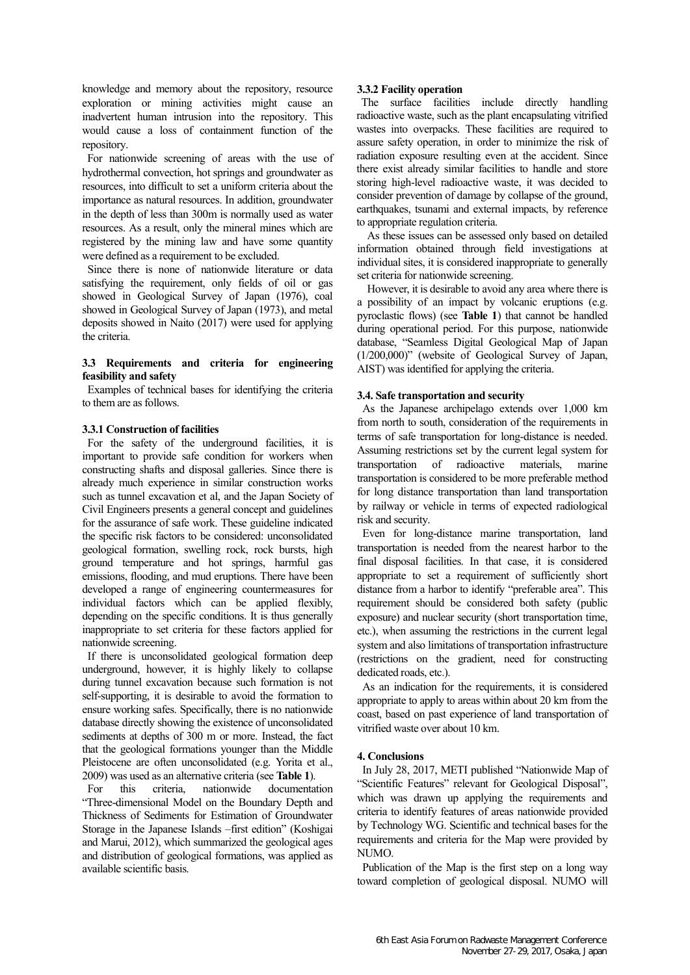knowledge and memory about the repository, resource exploration or mining activities might cause an inadvertent human intrusion into the repository. This would cause a loss of containment function of the repository.

For nationwide screening of areas with the use of hydrothermal convection, hot springs and groundwater as resources, into difficult to set a uniform criteria about the importance as natural resources. In addition, groundwater in the depth of less than 300m is normally used as water resources. As a result, only the mineral mines which are registered by the mining law and have some quantity were defined as a requirement to be excluded.

Since there is none of nationwide literature or data satisfying the requirement, only fields of oil or gas showed in Geological Survey of Japan (1976), coal showed in Geological Survey of Japan (1973), and metal deposits showed in Naito (2017) were used for applying the criteria.

# **3.3 Requirements and criteria for engineering feasibility and safety**

Examples of technical bases for identifying the criteria to them are as follows.

# **3.3.1 Construction of facilities**

For the safety of the underground facilities, it is important to provide safe condition for workers when constructing shafts and disposal galleries. Since there is already much experience in similar construction works such as tunnel excavation et al, and the Japan Society of Civil Engineers presents a general concept and guidelines for the assurance of safe work. These guideline indicated the specific risk factors to be considered: unconsolidated geological formation, swelling rock, rock bursts, high ground temperature and hot springs, harmful gas emissions, flooding, and mud eruptions. There have been developed a range of engineering countermeasures for individual factors which can be applied flexibly, depending on the specific conditions. It is thus generally inappropriate to set criteria for these factors applied for nationwide screening.

If there is unconsolidated geological formation deep underground, however, it is highly likely to collapse during tunnel excavation because such formation is not self-supporting, it is desirable to avoid the formation to ensure working safes. Specifically, there is no nationwide database directly showing the existence of unconsolidated sediments at depths of 300 m or more. Instead, the fact that the geological formations younger than the Middle Pleistocene are often unconsolidated (e.g. Yorita et al., 2009) was used as an alternative criteria (see **Table 1**).

For this criteria, nationwide documentation "Three-dimensional Model on the Boundary Depth and Thickness of Sediments for Estimation of Groundwater Storage in the Japanese Islands –first edition" (Koshigai and Marui, 2012), which summarized the geological ages and distribution of geological formations, was applied as available scientific basis.

## **3.3.2 Facility operation**

 The surface facilities include directly handling radioactive waste, such as the plant encapsulating vitrified wastes into overpacks. These facilities are required to assure safety operation, in order to minimize the risk of radiation exposure resulting even at the accident. Since there exist already similar facilities to handle and store storing high-level radioactive waste, it was decided to consider prevention of damage by collapse of the ground, earthquakes, tsunami and external impacts, by reference to appropriate regulation criteria.

 As these issues can be assessed only based on detailed information obtained through field investigations at individual sites, it is considered inappropriate to generally set criteria for nationwide screening.

 However, it is desirable to avoid any area where there is a possibility of an impact by volcanic eruptions (e.g. pyroclastic flows) (see **Table 1**) that cannot be handled during operational period. For this purpose, nationwide database, "Seamless Digital Geological Map of Japan (1/200,000)" (website of Geological Survey of Japan, AIST) was identified for applying the criteria.

# **3.4. Safe transportation and security**

As the Japanese archipelago extends over 1,000 km from north to south, consideration of the requirements in terms of safe transportation for long-distance is needed. Assuming restrictions set by the current legal system for transportation of radioactive materials, marine transportation is considered to be more preferable method for long distance transportation than land transportation by railway or vehicle in terms of expected radiological risk and security.

Even for long-distance marine transportation, land transportation is needed from the nearest harbor to the final disposal facilities. In that case, it is considered appropriate to set a requirement of sufficiently short distance from a harbor to identify "preferable area". This requirement should be considered both safety (public exposure) and nuclear security (short transportation time, etc.), when assuming the restrictions in the current legal system and also limitations of transportation infrastructure (restrictions on the gradient, need for constructing dedicated roads, etc.).

As an indication for the requirements, it is considered appropriate to apply to areas within about 20 km from the coast, based on past experience of land transportation of vitrified waste over about 10 km.

## **4. Conclusions**

In July 28, 2017, METI published "Nationwide Map of "Scientific Features" relevant for Geological Disposal", which was drawn up applying the requirements and criteria to identify features of areas nationwide provided by Technology WG. Scientific and technical bases for the requirements and criteria for the Map were provided by NUMO.

Publication of the Map is the first step on a long way toward completion of geological disposal. NUMO will